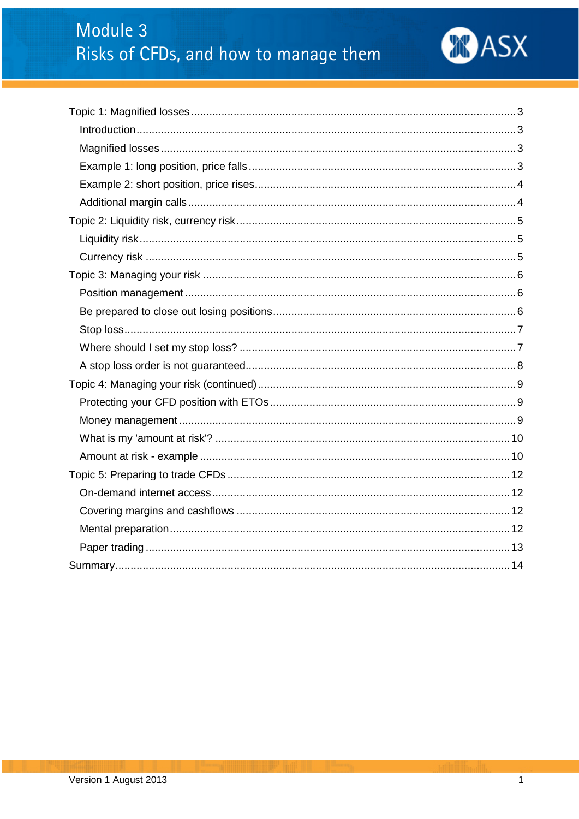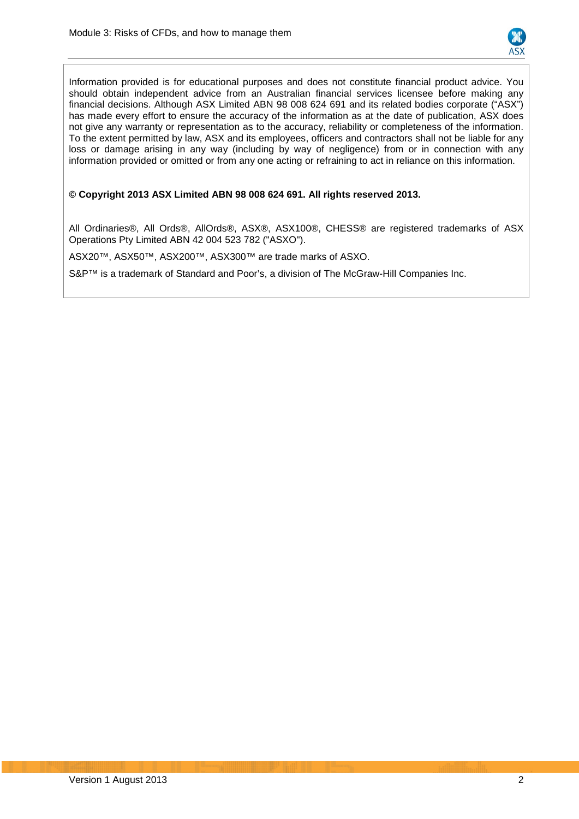

Information provided is for educational purposes and does not constitute financial product advice. You should obtain independent advice from an Australian financial services licensee before making any financial decisions. Although ASX Limited ABN 98 008 624 691 and its related bodies corporate ("ASX") has made every effort to ensure the accuracy of the information as at the date of publication, ASX does not give any warranty or representation as to the accuracy, reliability or completeness of the information. To the extent permitted by law, ASX and its employees, officers and contractors shall not be liable for any loss or damage arising in any way (including by way of negligence) from or in connection with any information provided or omitted or from any one acting or refraining to act in reliance on this information.

#### **© Copyright 2013 ASX Limited ABN 98 008 624 691. All rights reserved 2013.**

All Ordinaries®, All Ords®, AllOrds®, ASX®, ASX100®, CHESS® are registered trademarks of ASX Operations Pty Limited ABN 42 004 523 782 ("ASXO").

ASX20™, ASX50™, ASX200™, ASX300™ are trade marks of ASXO.

S&P<sup>™</sup> is a trademark of Standard and Poor's, a division of The McGraw-Hill Companies Inc.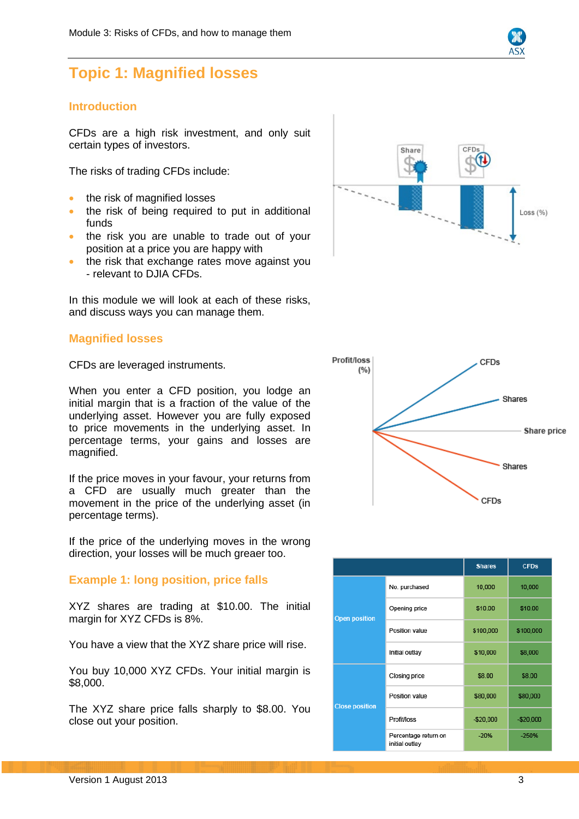

# <span id="page-2-0"></span>**Topic 1: Magnified losses**

# <span id="page-2-1"></span>**Introduction**

CFDs are a high risk investment, and only suit certain types of investors.

The risks of trading CFDs include:

- the risk of magnified losses
- the risk of being required to put in additional funds
- the risk you are unable to trade out of your position at a price you are happy with
- the risk that exchange rates move against you - relevant to DJIA CFDs.

In this module we will look at each of these risks, and discuss ways you can manage them.

# <span id="page-2-2"></span>**Magnified losses**

CFDs are leveraged instruments.

When you enter a CFD position, you lodge an initial margin that is a fraction of the value of the underlying asset. However you are fully exposed to price movements in the underlying asset. In percentage terms, your gains and losses are magnified.

If the price moves in your favour, your returns from a CFD are usually much greater than the movement in the price of the underlying asset (in percentage terms).

If the price of the underlying moves in the wrong direction, your losses will be much greaer too.

# <span id="page-2-3"></span>**Example 1: long position, price falls**

XYZ shares are trading at \$10.00. The initial margin for XYZ CFDs is 8%.

You have a view that the XYZ share price will rise.

You buy 10,000 XYZ CFDs. Your initial margin is \$8,000.

The XYZ share price falls sharply to \$8.00. You close out your position.





|                       |                                        | <b>Shares</b> | <b>CFDs</b> |
|-----------------------|----------------------------------------|---------------|-------------|
|                       | No. purchased                          | 10,000        | 10,000      |
| <b>Open position</b>  | Opening price                          | \$10.00       | \$10.00     |
|                       | Position value                         | \$100,000     | \$100,000   |
|                       | Initial outlay                         | \$10,000      | \$8,000     |
| <b>Close position</b> | Closing price                          | \$8.00        | \$8.00      |
|                       | Position value                         | \$80,000      | \$80,000    |
|                       | Profit/loss                            | $-$20,000$    | $-$20,000$  |
|                       | Percentage return on<br>initial outlay | $-20%$        | $-250%$     |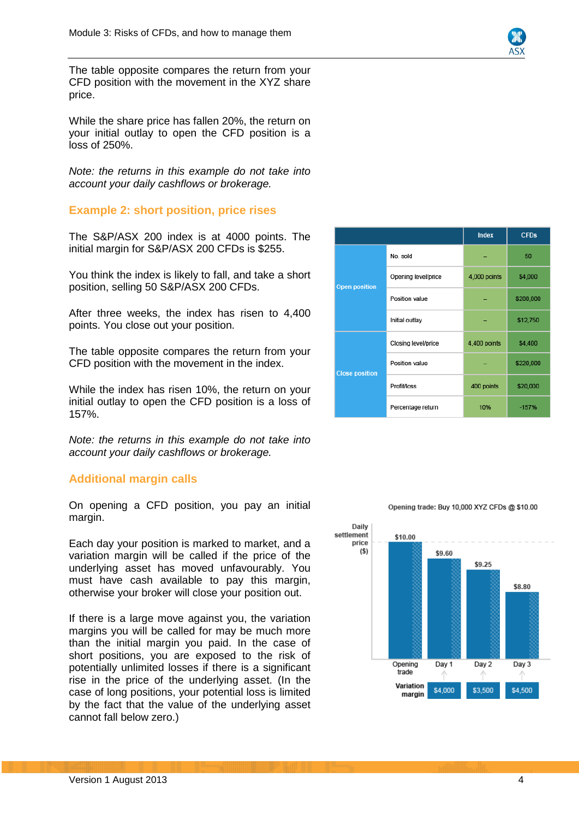

The table opposite compares the return from your CFD position with the movement in the XYZ share price.

While the share price has fallen 20%, the return on your initial outlay to open the CFD position is a loss of 250%.

*Note: the returns in this example do not take into account your daily cashflows or brokerage.*

# <span id="page-3-0"></span>**Example 2: short position, price rises**

The S&P/ASX 200 index is at 4000 points. The initial margin for S&P/ASX 200 CFDs is \$255.

You think the index is likely to fall, and take a short position, selling 50 S&P/ASX 200 CFDs.

After three weeks, the index has risen to 4,400 points. You close out your position.

The table opposite compares the return from your CFD position with the movement in the index.

While the index has risen 10%, the return on your initial outlay to open the CFD position is a loss of 157%.

*Note: the returns in this example do not take into account your daily cashflows or brokerage.*

## <span id="page-3-1"></span>**Additional margin calls**

On opening a CFD position, you pay an initial margin.

Each day your position is marked to market, and a variation margin will be called if the price of the underlying asset has moved unfavourably. You must have cash available to pay this margin, otherwise your broker will close your position out.

If there is a large move against you, the variation margins you will be called for may be much more than the initial margin you paid. In the case of short positions, you are exposed to the risk of potentially unlimited losses if there is a significant rise in the price of the underlying asset. (In the case of long positions, your potential loss is limited by the fact that the value of the underlying asset cannot fall below zero.)

|                       |                     | <b>Index</b> | <b>CFDs</b> |
|-----------------------|---------------------|--------------|-------------|
|                       | No. sold            |              | 50          |
| <b>Open position</b>  | Opening level/price | 4,000 points | \$4,000     |
|                       | Position value      |              | \$200,000   |
|                       | Initial outlay      |              | \$12,750    |
| <b>Close position</b> | Closing level/price | 4,400 points | \$4,400     |
|                       | Position value      |              | \$220,000   |
|                       | Profit/loss         | 400 points   | \$20,000    |
|                       | Percentage return   | 10%          | $-157%$     |



#### Opening trade: Buy 10,000 XYZ CFDs @ \$10.00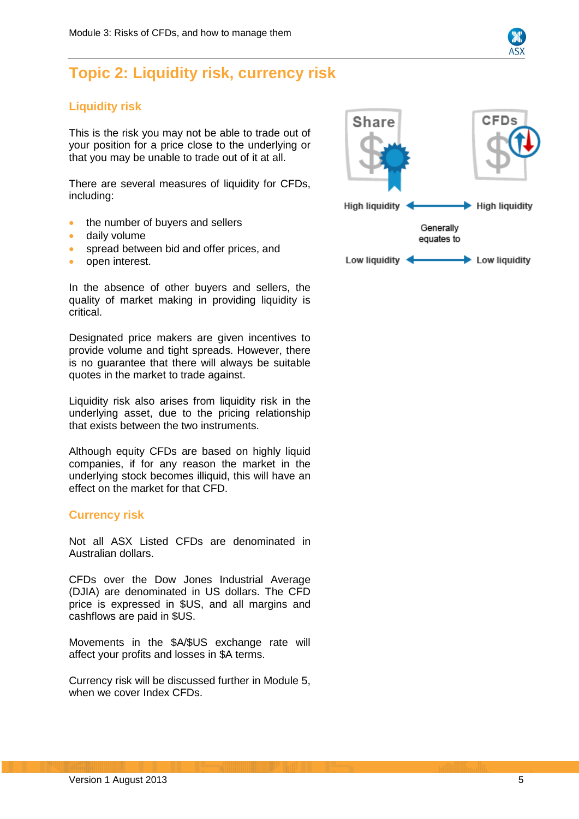# <span id="page-4-0"></span>**Topic 2: Liquidity risk, currency risk**

# <span id="page-4-1"></span>**Liquidity risk**

This is the risk you may not be able to trade out of your position for a price close to the underlying or that you may be unable to trade out of it at all.

There are several measures of liquidity for CFDs, including:

- the number of buyers and sellers
- daily volume
- spread between bid and offer prices, and
- open interest.

In the absence of other buyers and sellers, the quality of market making in providing liquidity is critical.

Designated price makers are given incentives to provide volume and tight spreads. However, there is no guarantee that there will always be suitable quotes in the market to trade against.

Liquidity risk also arises from liquidity risk in the underlying asset, due to the pricing relationship that exists between the two instruments.

Although equity CFDs are based on highly liquid companies, if for any reason the market in the underlying stock becomes illiquid, this will have an effect on the market for that CFD.

## <span id="page-4-2"></span>**Currency risk**

Not all ASX Listed CFDs are denominated in Australian dollars.

CFDs over the Dow Jones Industrial Average (DJIA) are denominated in US dollars. The CFD price is expressed in \$US, and all margins and cashflows are paid in \$US.

Movements in the \$A/\$US exchange rate will affect your profits and losses in \$A terms.

Currency risk will be discussed further in Module 5, when we cover Index CFDs.

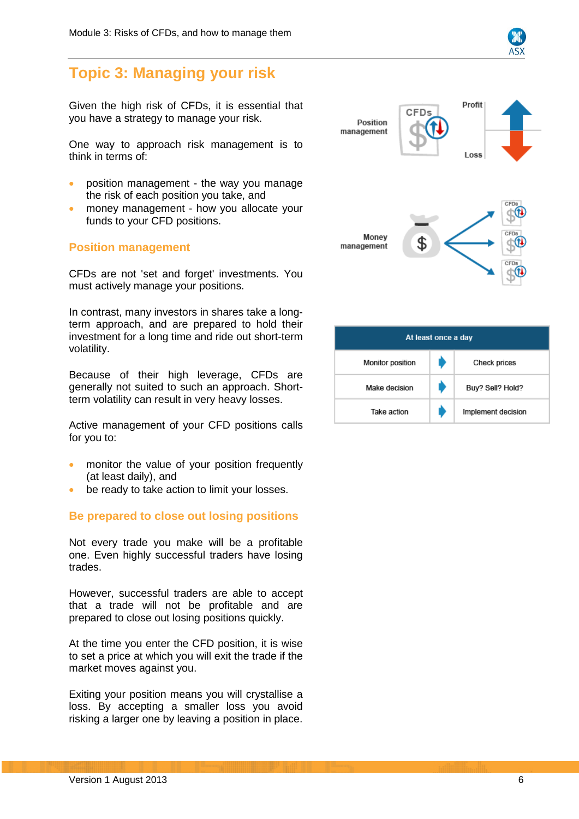# <span id="page-5-0"></span>**Topic 3: Managing your risk**

Given the high risk of CFDs, it is essential that you have a strategy to manage your risk.

One way to approach risk management is to think in terms of:

- position management the way you manage the risk of each position you take, and
- money management how you allocate your funds to your CFD positions.

## <span id="page-5-1"></span>**Position management**

CFDs are not 'set and forget' investments. You must actively manage your positions.

In contrast, many investors in shares take a longterm approach, and are prepared to hold their investment for a long time and ride out short-term volatility.

Because of their high leverage, CFDs are generally not suited to such an approach. Shortterm volatility can result in very heavy losses.

Active management of your CFD positions calls for you to:

- monitor the value of your position frequently (at least daily), and
- be ready to take action to limit your losses.

## <span id="page-5-2"></span>**Be prepared to close out losing positions**

Not every trade you make will be a profitable one. Even highly successful traders have losing trades.

However, successful traders are able to accept that a trade will not be profitable and are prepared to close out losing positions quickly.

At the time you enter the CFD position, it is wise to set a price at which you will exit the trade if the market moves against you.

Exiting your position means you will crystallise a loss. By accepting a smaller loss you avoid risking a larger one by leaving a position in place.



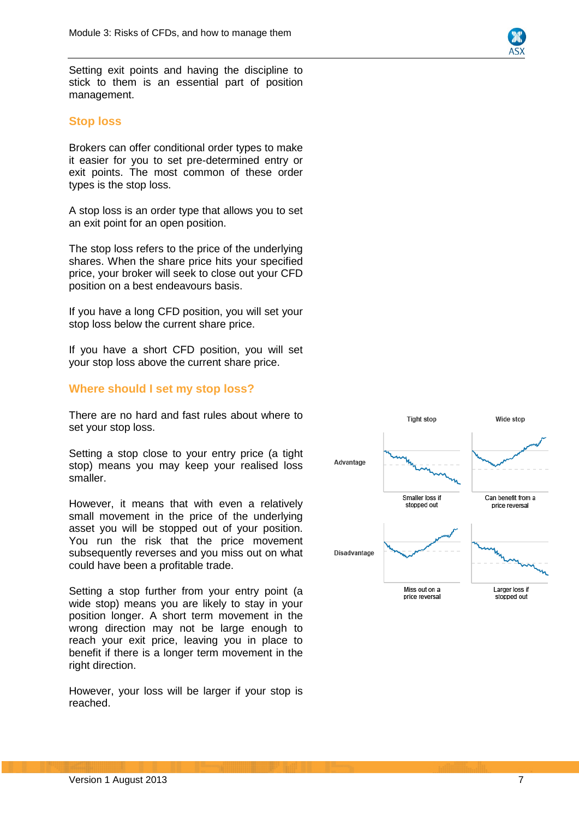Setting exit points and having the discipline to stick to them is an essential part of position management.

#### <span id="page-6-0"></span>**Stop loss**

Brokers can offer conditional order types to make it easier for you to set pre -determined entry or exit points. The most common of these order types is the stop loss.

A stop loss is an order type that allows you to set an exit point for an open position.

The stop loss refers to the price of the underlying shares. When the share price hits your specified price, your broker will seek to close out your CFD position on a best endeavours basis.

If you have a long CFD position, you will set your stop loss below the current share price.

If you have a short CFD position, you will set your stop loss above the current share price.

#### <span id="page-6-1"></span>**Where should I set my stop loss?**

There are no hard and fast rules about where to set your stop loss.

Setting a stop close to your entry price (a tight stop) means you may keep your realised loss smaller.

However, it means that with even a relatively small movement in the price of the underlying asset you will be stopped out of your position. You run the risk that the price movement subsequently reverses and you miss out on what could have been a profitable trade.

Setting a stop further from your entry point (a wide stop) means you are likely to stay in your position longer. A short term movement in the wrong direction may not be large enough to reach your exit price, leaving you in place to benefit if there is a longer term movement in the right direction.

However, your loss will be larger if your stop is reached.

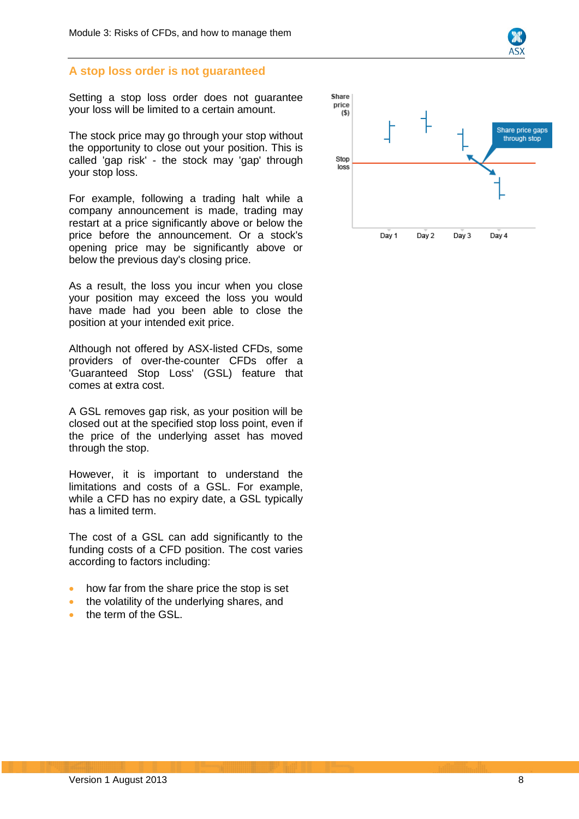#### <span id="page-7-0"></span>**A stop loss order is not guaranteed**

Setting a stop loss order does not guarantee your loss will be limited to a certain amount.

The stock price may go through your stop without the opportunity to close out your position. This is called 'gap risk' - the stock may 'gap' through your stop loss.

For example, following a trading halt while a company announcement is made, trading may restart at a price significantly above or below the price before the announcement. Or a stock's opening price may be significantly above or below the previous day's closing price.

As a result, the loss you incur when you close your position may exceed the loss you would have made had you been able to close the position at your intended exit price.

Although not offered by ASX-listed CFDs, some providers of over-the-counter CFDs offer a 'Guaranteed Stop Loss' (GSL) feature that comes at extra cost.

A GSL removes gap risk, as your position will be closed out at the specified stop loss point, even if the price of the underlying asset has moved through the stop.

However, it is important to understand the limitations and costs of a GSL. For example, while a CFD has no expiry date, a GSL typically has a limited term.

The cost of a GSL can add significantly to the funding costs of a CFD position. The cost varies according to factors including:

- how far from the share price the stop is set
- the volatility of the underlying shares, and
- the term of the GSL.

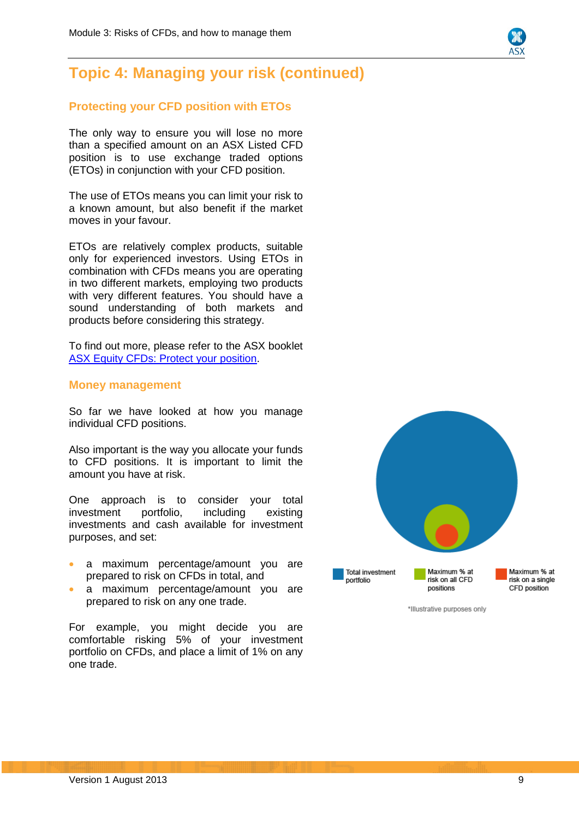# <span id="page-8-0"></span>**Topic 4: Managing your risk (continued)**

# <span id="page-8-1"></span>**Protecting your CFD position with ETOs**

The only way to ensure you will lose no more than a specified amount on an ASX Listed CFD position is to use exchange traded options (ETOs) in conjunction with your CFD position.

The use of ETOs means you can limit your risk to a known amount, but also benefit if the market moves in your favour.

ETOs are relatively complex products, suitable only for experienced investors. Using ETOs in combination with CFDs means you are operating in two different markets, employing two products with very different features. You should have a sound understanding of both markets and products before considering this strategy.

To find out more, please refer to the ASX booklet [ASX Equity CFDs: Protect your position.](http://www.asx.com.au/documents/products/asx_equity_cfds_protecting_your_position.pdf)

#### <span id="page-8-2"></span>**Money management**

So far we have looked at how you manage individual CFD positions.

Also important is the way you allocate your funds to CFD positions. It is important to limit the amount you have at risk.

One approach is to consider your total investment portfolio, including existing investments and cash available for investment purposes, and set:

- a maximum percentage/amount you are prepared to risk on CFDs in total, and
- a maximum percentage/amount you are prepared to risk on any one trade.

For example, you might decide you are comfortable risking 5% of your investment portfolio on CFDs, and place a limit of 1% on any one trade.

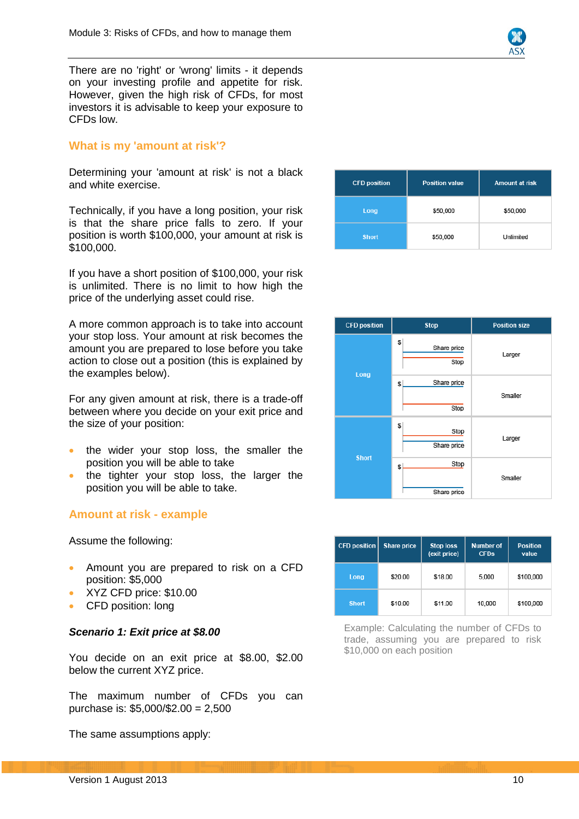

There are no 'right' or 'wrong' limits - it depends on your investing profile and appetite for risk. However, given the high risk of CFDs, for most investors it is advisable to keep your exposure to CFDs low.

# <span id="page-9-0"></span>**What is my 'amount at risk'?**

Determining your 'amount at risk' is not a black and white exercise.

Technically, if you have a long position, your risk is that the share price falls to zero. If your position is worth \$100,000, your amount at risk is \$100,000.

If you have a short position of \$100,000, your risk is unlimited. There is no limit to how high the price of the underlying asset could rise.

A more common approach is to take into account your stop loss. Your amount at risk becomes the amount you are prepared to lose before you take action to close out a position (this is explained by the examples below).

For any given amount at risk, there is a trade-off between where you decide on your exit price and the size of your position:

- the wider your stop loss, the smaller the position you will be able to take
- the tighter your stop loss, the larger the position you will be able to take.

## <span id="page-9-1"></span>**Amount at risk - example**

Assume the following:

- Amount you are prepared to risk on a CFD position: \$5,000
- XYZ CFD price: \$10.00
- CFD position: long

#### *Scenario 1: Exit price at \$8.00*

You decide on an exit price at \$8.00, \$2.00 below the current XYZ price.

The maximum number of CFDs you can purchase is: \$5,000/\$2.00 = 2,500

The same assumptions apply:

| <b>CFD position</b> | <b>Position value</b> | <b>Amount at risk</b> |
|---------------------|-----------------------|-----------------------|
| Long                | \$50,000              | \$50,000              |
| <b>Short</b>        | \$50,000              | Unlimited             |

| <b>CFD position</b> | <b>Stop</b>              | <b>Position size</b> |
|---------------------|--------------------------|----------------------|
| Long                | S<br>Share price<br>Stop | Larger               |
|                     | Share price<br>S<br>Stop | Smaller              |
|                     | S<br>Stop<br>Share price | Larger               |
| <b>Short</b>        | Stop<br>S<br>Share price | Smaller              |

| <b>CFD position</b> | <b>Share price</b> | <b>Stop loss</b><br>(exit price) | <b>Number of</b><br><b>CFDs</b> | <b>Position</b><br>value |
|---------------------|--------------------|----------------------------------|---------------------------------|--------------------------|
| Long                | \$20.00            | \$18.00                          | 5,000                           | \$100,000                |
| <b>Short</b>        | \$10.00            | \$11.00                          | 10,000                          | \$100,000                |

Example: Calculating the number of CFDs to trade, assuming you are prepared to risk \$10,000 on each position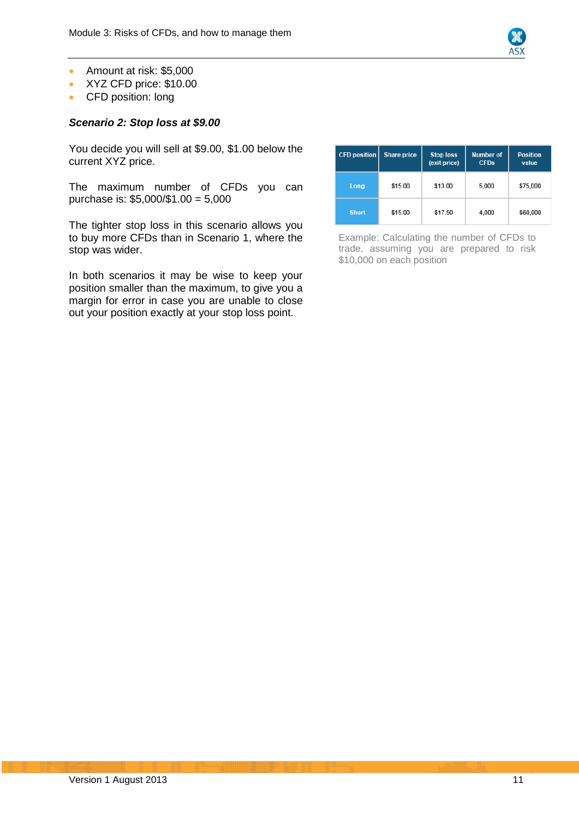

- Amount at risk: \$5,000
- XYZ CFD price: \$10.00
- CFD position: long

### *Scenario 2: Stop loss at \$9.00*

You decide you will sell at \$9.00, \$1.00 below the current XYZ price.

The maximum number of CFDs you can purchase is: \$5,000/\$1.00 = 5,000

The tighter stop loss in this scenario allows you to buy more CFDs than in Scenario 1, where the stop was wider.

In both scenarios it may be wise to keep your position smaller than the maximum, to give you a margin for error in case you are unable to close out your position exactly at your stop loss point.

| <b>CFD position</b> | <b>Share price</b> | <b>Stop loss</b><br>(exit price) | <b>Number of</b><br><b>CFDs</b> | <b>Position</b><br>value |
|---------------------|--------------------|----------------------------------|---------------------------------|--------------------------|
| Long                | \$15.00            | \$13.00                          | 5,000                           | \$75,000                 |
| <b>Short</b>        | \$15.00            | \$17.50                          | 4,000                           | \$60,000                 |

Example: Calculating the number of CFDs to trade, assuming you are prepared to risk \$10,000 on each position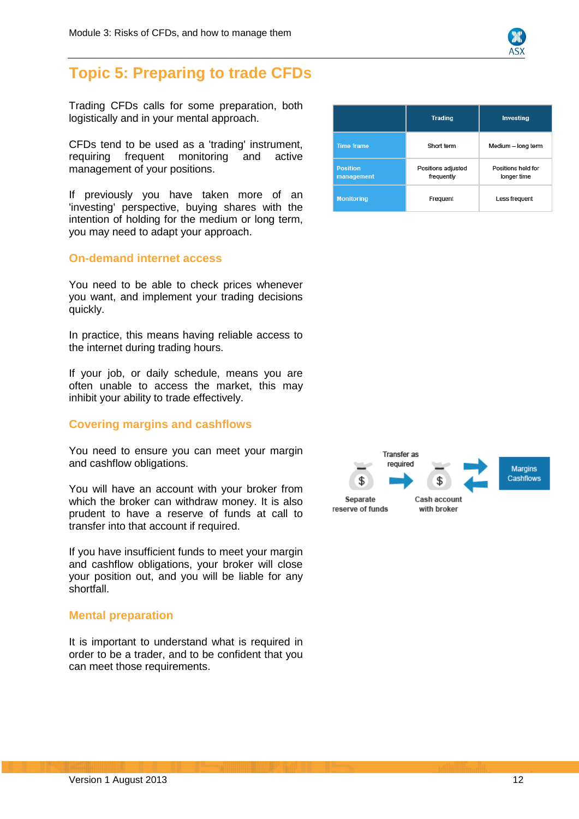

# <span id="page-11-0"></span>**Topic 5: Preparing to trade CFDs**

Trading CFDs calls for some preparation, both logistically and in your mental approach.

CFDs tend to be used as a 'trading' instrument, requiring frequent monitoring and active management of your positions.

If previously you have taken more of an 'investing' perspective, buying shares with the intention of holding for the medium or long term, you may need to adapt your approach.

#### <span id="page-11-1"></span>**On-demand internet access**

You need to be able to check prices whenever you want, and implement your trading decisions quickly.

In practice, this means having reliable access to the internet during trading hours.

If your job, or daily schedule, means you are often unable to access the market, this may inhibit your ability to trade effectively.

## <span id="page-11-2"></span>**Covering margins and cashflows**

You need to ensure you can meet your margin and cashflow obligations.

You will have an account with your broker from which the broker can withdraw money. It is also prudent to have a reserve of funds at call to transfer into that account if required.

If you have insufficient funds to meet your margin and cashflow obligations, your broker will close your position out, and you will be liable for any shortfall.

## <span id="page-11-3"></span>**Mental preparation**

It is important to understand what is required in order to be a trader, and to be confident that you can meet those requirements.

|                               | <b>Trading</b>                   | Investing                         |
|-------------------------------|----------------------------------|-----------------------------------|
| <b>Time frame</b>             | Short term                       | Medium - long term                |
| <b>Position</b><br>management | Positions adjusted<br>frequently | Positions held for<br>longer time |
| <b>Monitoring</b>             | Frequent                         | Less frequent                     |

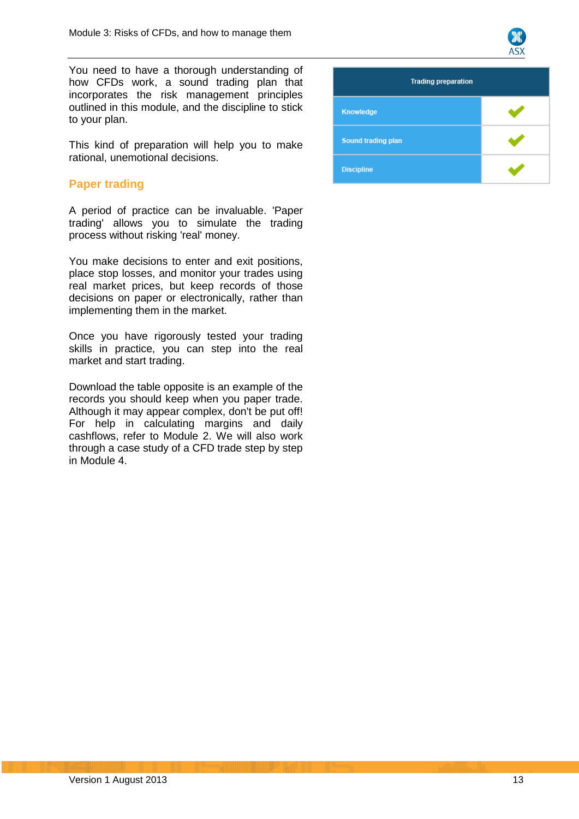

You need to have a thorough understanding of how CFDs work, a sound trading plan that incorporates the risk management principles outlined in this module, and the discipline to stick to your plan.

This kind of preparation will help you to make rational, unemotional decisions.

# <span id="page-12-0"></span>**Paper trading**

A period of practice can be invaluable. 'Paper trading' allows you to simulate the trading process without risking 'real' money.

You make decisions to enter and exit positions, place stop losses, and monitor your trades using real market prices, but keep records of those decisions on paper or electronically, rather than implementing them in the market.

Once you have rigorously tested your trading skills in practice, you can step into the real market and start trading.

Download the table opposite is an example of the records you should keep when you paper trade. Although it may appear complex, don't be put off! For help in calculating margins and daily cashflows, refer to Module 2. We will also work through a case study of a CFD trade step by step in Module 4.

| <b>Trading preparation</b> |  |  |
|----------------------------|--|--|
| Knowledge                  |  |  |
| Sound trading plan         |  |  |
| <b>Discipline</b>          |  |  |